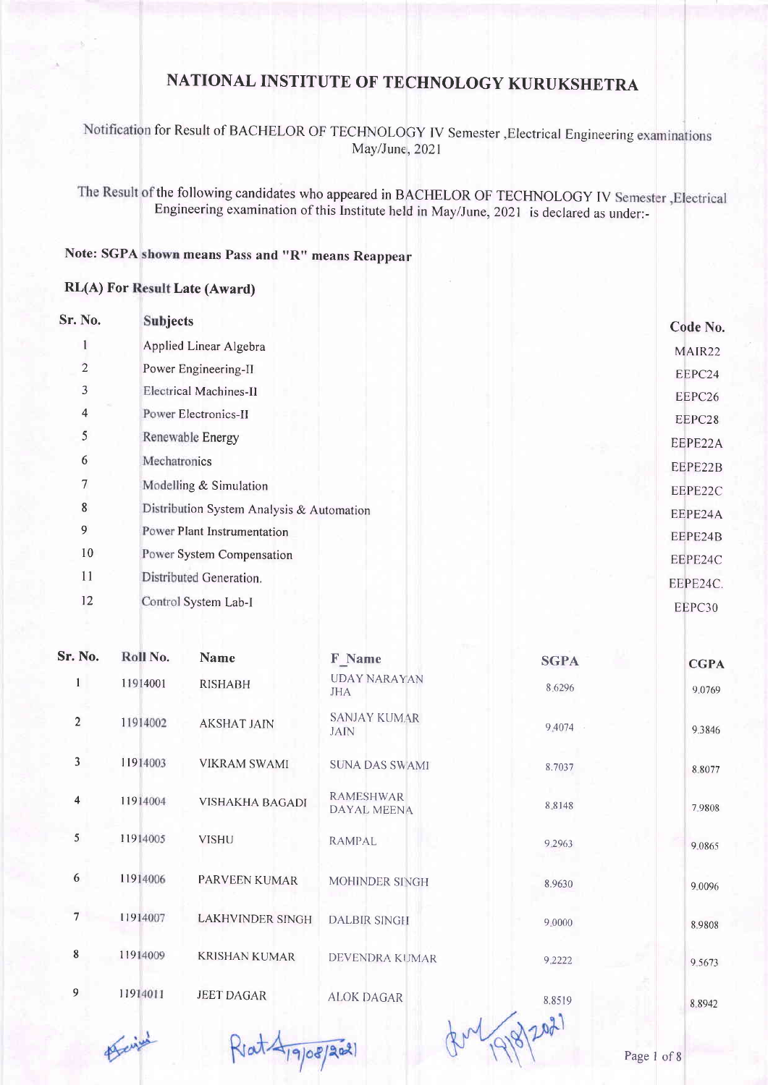Notification for Result of BACHELOR OF TECHNOLOGY IV Semester , Electrical Engineering examinations May/June, 2021

The Result of the following candidates who appeared in BACHELOR OF TECHNOLOGY IV Semester , Electrical Engineering examination of this Institute held in May/June, 2021 is declared as under:-

### Note: SGPA shown means Pass and "R" means Reappear

#### **RL(A) For Result Late (Award)**

| Sr. No.        | <b>Subjects</b>                           | Code No. |
|----------------|-------------------------------------------|----------|
|                | Applied Linear Algebra                    | MAIR22   |
| $\overline{c}$ | Power Engineering-II                      | EEPC24   |
| 3              | Electrical Machines-II                    | EEPC26   |
| $\overline{4}$ | Power Electronics-II                      | EEPC28   |
| 5              | Renewable Energy                          | EEPE22A  |
| 6              | Mechatronics                              | EEPE22B  |
| 7              | Modelling & Simulation                    | EEPE22C  |
| 8              | Distribution System Analysis & Automation | EEPE24A  |
| 9              | Power Plant Instrumentation               | EEPE24B  |
| 10             | Power System Compensation                 | EEPE24C  |
| 11             | Distributed Generation.                   | EEPE24C. |
| 12             | Control System Lab-I                      | EEPC30   |

| Sr. No.        | Roll No. | <b>Name</b>             | F Name                             | <b>SGPA</b> | <b>CGPA</b> |
|----------------|----------|-------------------------|------------------------------------|-------------|-------------|
| 1              | 11914001 | <b>RISHABH</b>          | <b>UDAY NARAYAN</b><br><b>JHA</b>  | 8.6296      | 9.0769      |
| $\overline{2}$ | 11914002 | <b>AKSHAT JAIN</b>      | <b>SANJAY KUMAR</b><br><b>JAIN</b> | 9,4074      | 9.3846      |
| 3              | 11914003 | <b>VIKRAM SWAMI</b>     | <b>SUNA DAS SWAMI</b>              | 8.7037      | 8.8077      |
| $\overline{4}$ | 11914004 | <b>VISHAKHA BAGADI</b>  | <b>RAMESHWAR</b><br>DAYAL MEENA    | 88148       | 7.9808      |
| 5              | 11914005 | <b>VISHU</b>            | <b>RAMPAL</b>                      | 9.2963      | 9.0865      |
| 6              | 11914006 | PARVEEN KUMAR           | MOHINDER SINGH                     | 8.9630      | 9.0096      |
| $7^{\circ}$    | 11914007 | <b>LAKHVINDER SINGH</b> | <b>DALBIR SINGH</b>                | 9.0000      | 8.9808      |
| 8              | 11914009 | <b>KRISHAN KUMAR</b>    | <b>DEVENDRA KUMAR</b>              | 9.2222      | 9.5673      |
| 9              | 11914011 | <b>JEET DAGAR</b>       | <b>ALOK DAGAR</b>                  | 8.8519      | 8.8942      |

(BM/1918)

Lei

Reat 4/9/08/2021

Page 1 of 8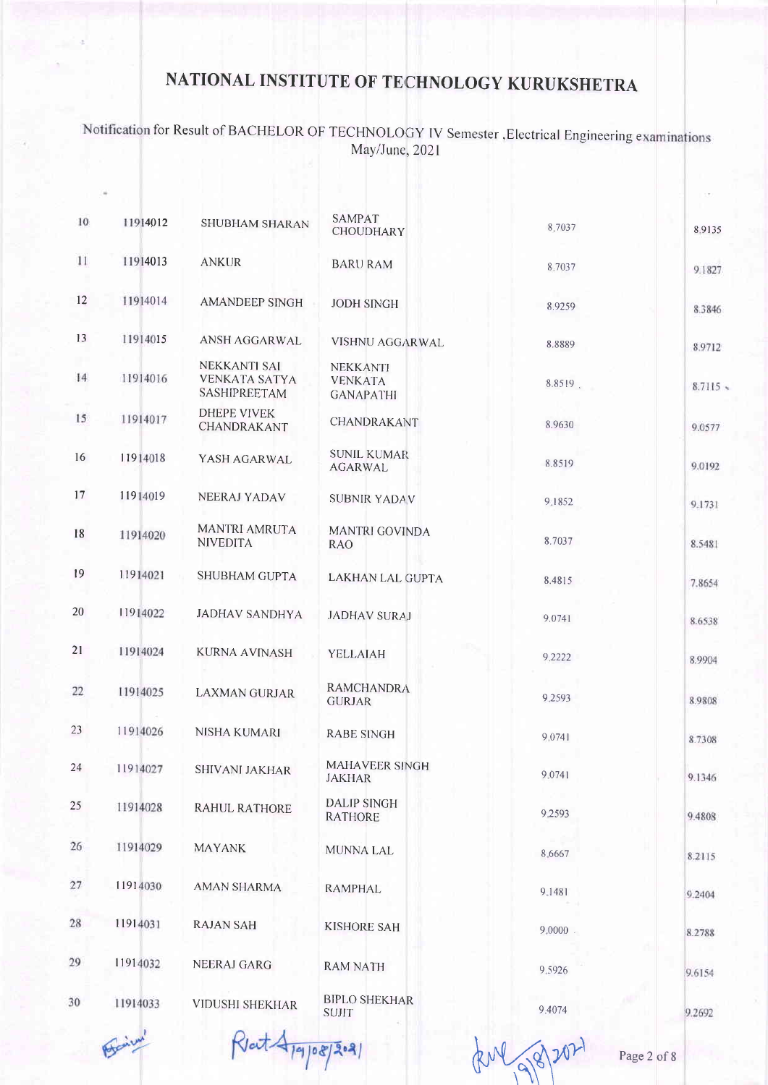# Notification for Result of BACHELOR OF TECHNOLOGY IV Semester , Electrical Engineering examinations<br>May/June, 2021

| 10 | 11914012 | SHUBHAM SHARAN                                              | <b>SAMPAT</b><br><b>CHOUDHARY</b>                     | 8.7037     | 8.9135 |
|----|----------|-------------------------------------------------------------|-------------------------------------------------------|------------|--------|
| 11 | 11914013 | <b>ANKUR</b>                                                | <b>BARU RAM</b>                                       | 8,7037     | 9.1827 |
| 12 | 11914014 | <b>AMANDEEP SINGH</b>                                       | <b>JODH SINGH</b>                                     | 8.9259     | 8.3846 |
| 13 | 11914015 | ANSH AGGARWAL                                               | <b>VISHNU AGGARWAL</b>                                | 8.8889     | 8.9712 |
| 14 | 11914016 | <b>NEKKANTI SAI</b><br><b>VENKATA SATYA</b><br>SASHIPREETAM | <b>NEKKANTI</b><br><b>VENKATA</b><br><b>GANAPATHI</b> | 8.8519.    | 8.7115 |
| 15 | 11914017 | <b>DHEPE VIVEK</b><br>CHANDRAKANT                           | CHANDRAKANT                                           | 8.9630     | 9.0577 |
| 16 | 11914018 | YASH AGARWAL                                                | <b>SUNIL KUMAR</b><br><b>AGARWAL</b>                  | 8.8519     | 9.0192 |
| 17 | 11914019 | NEERAJ YADAV                                                | <b>SUBNIR YADAV</b>                                   | 9.1852     | 9.1731 |
| 18 | 11914020 | MANTRI AMRUTA<br><b>NIVEDITA</b>                            | <b>MANTRI GOVINDA</b><br><b>RAO</b>                   | 8.7037     | 8.5481 |
| 19 | 11914021 | SHUBHAM GUPTA                                               | <b>LAKHAN LAL GUPTA</b>                               | 8.4815     | 7.8654 |
| 20 | 11914022 | <b>JADHAV SANDHYA</b>                                       | <b>JADHAV SURAJ</b>                                   | 9.0741     | 8.6538 |
| 21 | 11914024 | <b>KURNA AVINASH</b>                                        | YELLAIAH                                              | 9,2222     | 8.9904 |
| 22 | 11914025 | <b>LAXMAN GURJAR</b>                                        | <b>RAMCHANDRA</b><br><b>GURJAR</b>                    | 9.2593     | 8.9808 |
| 23 | 11914026 | <b>NISHA KUMARI</b>                                         | <b>RABE SINGH</b>                                     | 9.0741     | 8.7308 |
| 24 | 11914027 | <b>SHIVANI JAKHAR</b>                                       | <b>MAHAVEER SINGH</b><br><b>JAKHAR</b>                | 9.0741     | 9.1346 |
| 25 | 11914028 | <b>RAHUL RATHORE</b>                                        | <b>DALIP SINGH</b><br><b>RATHORE</b>                  | 9.2593     | 9.4808 |
| 26 | 11914029 | <b>MAYANK</b>                                               | <b>MUNNA LAL</b>                                      | 8,6667     | 8.2115 |
| 27 | 11914030 | AMAN SHARMA                                                 | RAMPHAL                                               | 9.1481     | 9.2404 |
| 28 | 11914031 | <b>RAJAN SAH</b>                                            | <b>KISHORE SAH</b>                                    | $9,0000$ . | 8.2788 |
| 29 | 11914032 | NEERAJ GARG                                                 | <b>RAM NATH</b>                                       | 9,5926     | 9.6154 |
| 30 | 11914033 | <b>VIDUSHI SHEKHAR</b>                                      | <b>BIPLO SHEKHAR</b><br><b>SUJIT</b>                  | 9,4074     | 9.2692 |
|    |          |                                                             |                                                       |            |        |

 $R$ at $A_{19}$ 08/2021

Page 2 of 8

19/8/2021

RM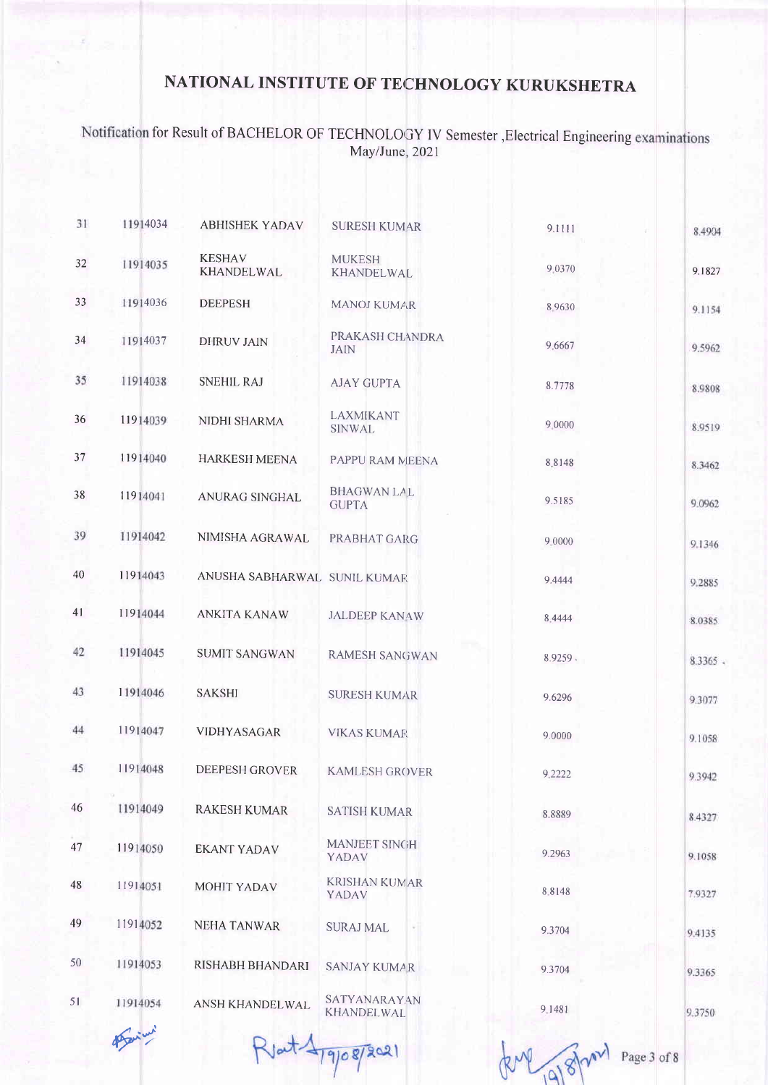## Notification for Result of BACHELOR OF TECHNOLOGY IV Semester ,<br>Electrical Engineering examinations May/June, 2021

| 31 | 11914034 | <b>ABHISHEK YADAV</b>        | <b>SURESH KUMAR</b>                      | 9.1111  | 8.4904  |
|----|----------|------------------------------|------------------------------------------|---------|---------|
| 32 | 11914035 | <b>KESHAV</b><br>KHANDELWAL  | <b>MUKESH</b><br><b>KHANDELWAL</b>       | 9.0370  | 9.1827  |
| 33 | 11914036 | <b>DEEPESH</b>               | <b>MANOJ KUMAR</b>                       | 8.9630  | 9.1154  |
| 34 | 11914037 | <b>DHRUV JAIN</b>            | PRAKASH CHANDRA<br><b>JAIN</b>           | 9.6667  | 9.5962  |
| 35 | 11914038 | <b>SNEHIL RAJ</b>            | <b>AJAY GUPTA</b>                        | 8.7778  | 8.9808  |
| 36 | 11914039 | NIDHI SHARMA                 | LAXMIKANT<br><b>SINWAL</b>               | 9,0000  | 8.9519  |
| 37 | 11914040 | <b>HARKESH MEENA</b>         | PAPPU RAM MEENA                          | 8.8148  | 8.3462  |
| 38 | 11914041 | <b>ANURAG SINGHAL</b>        | <b>BHAGWAN LAL</b><br><b>GUPTA</b>       | 9.5185  | 9.0962  |
| 39 | 11914042 | NIMISHA AGRAWAL              | PRABHAT GARG                             | 9.0000  | 9.1346  |
| 40 | 11914043 | ANUSHA SABHARWAL SUNIL KUMAR |                                          | 9.4444  | 9.2885  |
| 41 | 11914044 | <b>ANKITA KANAW</b>          | <b>JALDEEP KANAW</b>                     | 8.4444  | 8.0385  |
| 42 | 11914045 | <b>SUMIT SANGWAN</b>         | <b>RAMESH SANGWAN</b>                    | 8.9259. | 8.3365. |
| 43 | 11914046 | <b>SAKSHI</b>                | <b>SURESH KUMAR</b>                      | 9.6296  | 9.3077  |
| 44 | 11914047 | <b>VIDHYASAGAR</b>           | <b>VIKAS KUMAR</b>                       | 9.0000  | 9.1058  |
| 45 | 11914048 | <b>DEEPESH GROVER</b>        | <b>KAMLESH GROVER</b>                    | 9.2222  | 9.3942  |
| 46 | 11914049 | <b>RAKESH KUMAR</b>          | <b>SATISH KUMAR</b>                      | 8.8889  | 8.4327  |
| 47 | 11914050 | <b>EKANT YADAV</b>           | <b>MANJEET SINGH</b><br>YADAV            | 9.2963  | 9.1058  |
| 48 | 11914051 | MOHIT YADAV                  | <b>KRISHAN KUMAR</b><br>YADAV            | 8.8148  | 7.9327  |
| 49 | 11914052 | <b>NEHA TANWAR</b>           | <b>SURAJ MAL</b>                         | 9.3704  | 9.4135  |
| 50 | 11914053 | RISHABH BHANDARI             | <b>SANJAY KUMAR</b>                      | 9.3704  | 9.3365  |
| 51 | 11914054 | ANSH KHANDELWAL              | <b>SATYANARAYAN</b><br><b>KHANDELWAL</b> | 9.1481  | 9.3750  |
|    |          |                              |                                          |         |         |

Rent 4/9/08/2021

RMP 1918 nov Page 3 of 8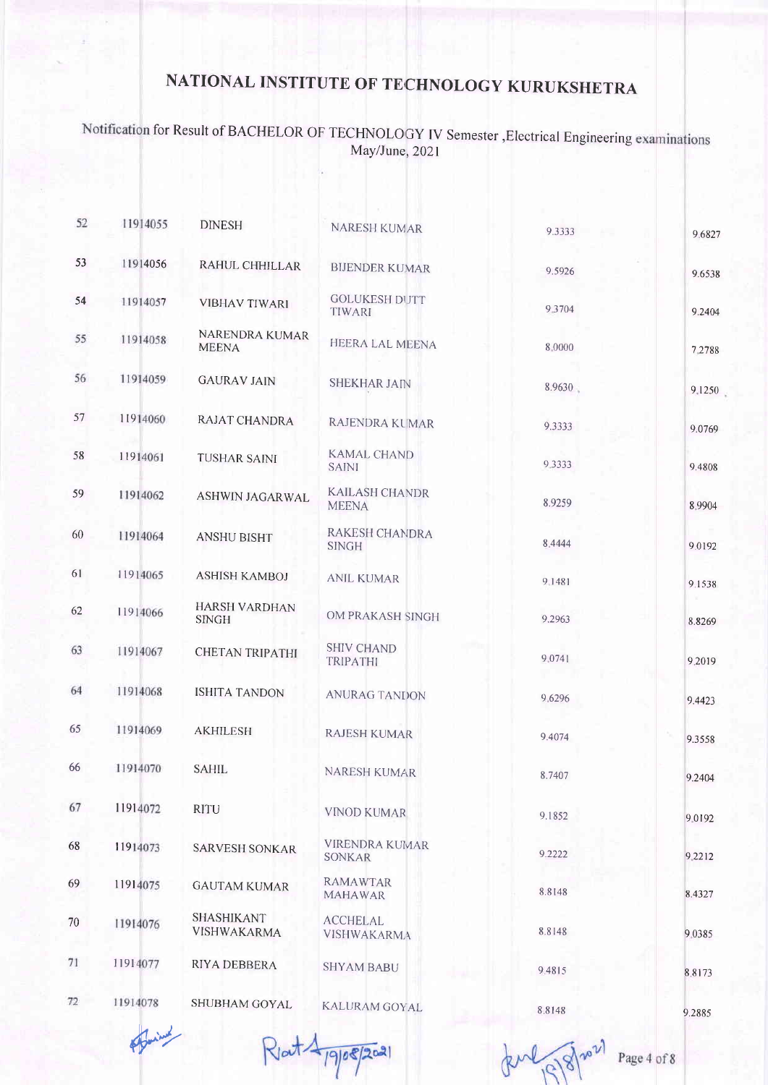# Notification for Result of BACHELOR OF TECHNOLOGY IV Semester , Electrical Engineering examinations<br>May/June, 2021

| 52 | 11914055 | <b>DINESH</b>                  | <b>NARESH KUMAR</b>                    | 9.3333 | 9.6827 |
|----|----------|--------------------------------|----------------------------------------|--------|--------|
| 53 | 11914056 | RAHUL CHHILLAR                 | <b>BIJENDER KUMAR</b>                  | 9.5926 | 9.6538 |
| 54 | 11914057 | <b>VIBHAV TIWARI</b>           | <b>GOLUKESH DUTT</b><br>TIWARI         | 9.3704 | 9.2404 |
| 55 | 11914058 | NARENDRA KUMAR<br><b>MEENA</b> | HEERA LAL MEENA                        | 8,0000 | 7.2788 |
| 56 | 11914059 | <b>GAURAV JAIN</b>             | <b>SHEKHAR JAIN</b>                    | 8.9630 | 9,1250 |
| 57 | 11914060 | <b>RAJAT CHANDRA</b>           | RAJENDRA KUMAR                         | 9.3333 | 9.0769 |
| 58 | 11914061 | <b>TUSHAR SAINI</b>            | <b>KAMAL CHAND</b><br><b>SAINI</b>     | 9.3333 | 9.4808 |
| 59 | 11914062 | ASHWIN JAGARWAL                | <b>KAILASH CHANDR</b><br><b>MEENA</b>  | 8.9259 | 8.9904 |
| 60 | 11914064 | <b>ANSHU BISHT</b>             | RAKESH CHANDRA<br><b>SINGH</b>         | 8.4444 | 9.0192 |
| 61 | 11914065 | <b>ASHISH KAMBOJ</b>           | <b>ANIL KUMAR</b>                      | 9 1481 | 9.1538 |
| 62 | 11914066 | HARSH VARDHAN<br><b>SINGH</b>  | OM PRAKASH SINGH                       | 9.2963 | 8.8269 |
| 63 | 11914067 | <b>CHETAN TRIPATHI</b>         | <b>SHIV CHAND</b><br><b>TRIPATHI</b>   | 9.0741 | 9.2019 |
| 64 | 11914068 | <b>ISHITA TANDON</b>           | <b>ANURAG TANDON</b>                   | 9.6296 | 9.4423 |
| 65 | 11914069 | <b>AKHILESH</b>                | <b>RAJESH KUMAR</b>                    | 9.4074 | 9.3558 |
| 66 | 11914070 | <b>SAHIL</b>                   | <b>NARESH KUMAR</b>                    | 8.7407 | 9.2404 |
| 67 | 11914072 | <b>RITU</b>                    | <b>VINOD KUMAR</b>                     | 9.1852 | 9.0192 |
| 68 | 11914073 | <b>SARVESH SONKAR</b>          | <b>VIRENDRA KUMAR</b><br><b>SONKAR</b> | 9.2222 | 9.2212 |
| 69 | 11914075 | <b>GAUTAM KUMAR</b>            | <b>RAMAWTAR</b><br><b>MAHAWAR</b>      | 8.8148 | 8.4327 |
| 70 | 11914076 | SHASHIKANT<br>VISHWAKARMA      | <b>ACCHELAL</b><br>VISHWAKARMA         | 8.8148 | 9.0385 |
| 71 | 11914077 | <b>RIYA DEBBERA</b>            | <b>SHYAM BABU</b>                      | 9.4815 | 8.8173 |
| 72 | 11914078 | SHUBHAM GOYAL                  | KALURAM GOYAL                          | 8.8148 | 9.2885 |

 $Part47908/2021$ 

Jene 19/8/2021

Page 4 of 8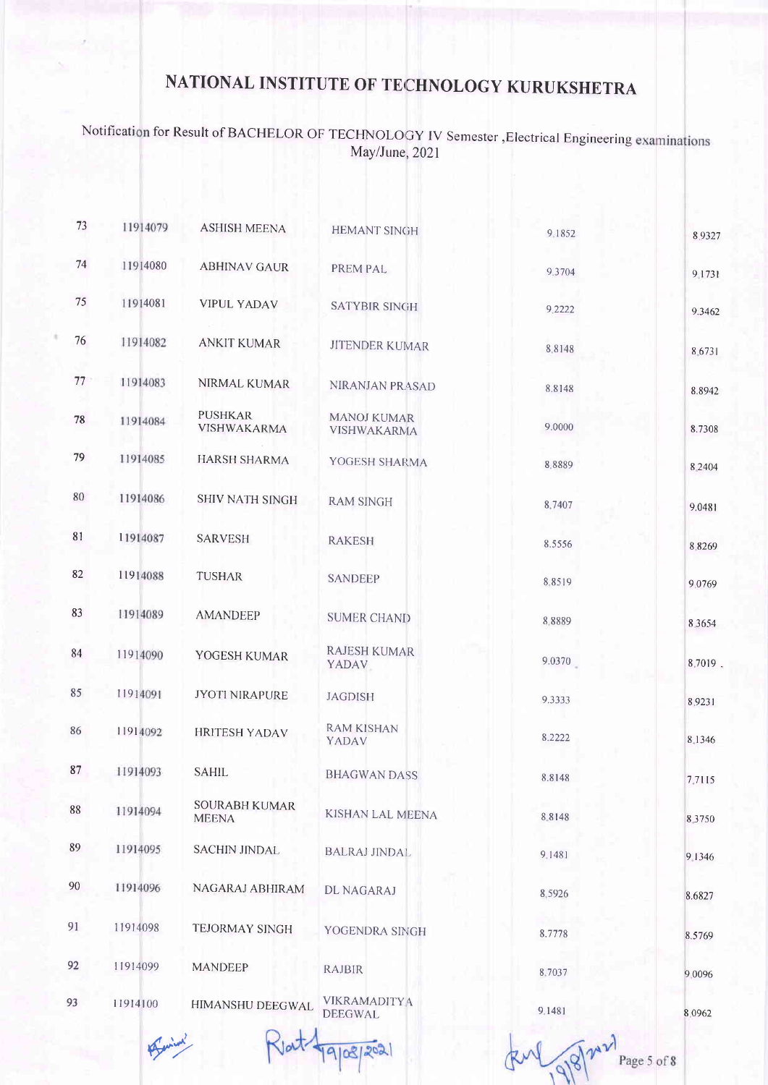# Notification for Result of BACHELOR OF TECHNOLOGY IV Semester, Electrical Engineering examinations<br>May/June, 2021

| 73 | 11914079 | <b>ASHISH MEENA</b>           | <b>HEMANT SINGH</b>                       | 9.1852 | 8.9327    |
|----|----------|-------------------------------|-------------------------------------------|--------|-----------|
| 74 | 11914080 | <b>ABHINAV GAUR</b>           | PREM PAL                                  | 9.3704 | 9.1731    |
| 75 | 11914081 | <b>VIPUL YADAV</b>            | <b>SATYBIR SINGH</b>                      | 9.2222 | 9.3462    |
| 76 | 11914082 | <b>ANKIT KUMAR</b>            | <b>JITENDER KUMAR</b>                     | 8.8148 | 8.6731    |
| 77 | 11914083 | NIRMAL KUMAR                  | NIRANJAN PRASAD                           | 8.8148 | 8.8942    |
| 78 | 11914084 | <b>PUSHKAR</b><br>VISHWAKARMA | <b>MANOJ KUMAR</b><br>VISHWAKARMA         | 9.0000 | 8.7308    |
| 79 | 11914085 | <b>HARSH SHARMA</b>           | YOGESH SHARMA                             | 8,8889 | 8 2 4 0 4 |
| 80 | 11914086 | SHIV NATH SINGH               | <b>RAM SINGH</b>                          | 8,7407 | 9.0481    |
| 81 | 11914087 | <b>SARVESH</b>                | <b>RAKESH</b>                             | 8.5556 | 8.8269    |
| 82 | 11914088 | <b>TUSHAR</b>                 | <b>SANDEEP</b>                            | 8.8519 | 9.0769    |
| 83 | 11914089 | <b>AMANDEEP</b>               | <b>SUMER CHAND</b>                        | 8.8889 | 8.3654    |
| 84 | 11914090 | YOGESH KUMAR                  | <b>RAJESH KUMAR</b><br>YADAV <sub>-</sub> | 9.0370 | 8.7019.   |
| 85 | 11914091 | <b>JYOTI NIRAPURE</b>         | <b>JAGDISH</b>                            | 9.3333 | 8.9231    |
| 86 | 11914092 | HRITESH YADAV                 | <b>RAM KISHAN</b><br>YADAV                | 8.2222 | 8.1346    |
| 87 | 11914093 | <b>SAHIL</b>                  | <b>BHAGWAN DASS</b>                       | 8.8148 | 7.7115    |
| 88 | 11914094 | SOURABH KUMAR<br><b>MEENA</b> | KISHAN LAL MEENA                          | 8.8148 | 8.3750    |
| 89 | 11914095 | <b>SACHIN JINDAL</b>          | <b>BALRAJ JINDAL</b>                      | 9.1481 | 9.1346    |
| 90 | 11914096 | NAGARAJ ABHIRAM               | <b>DL NAGARAJ</b>                         | 8,5926 | 8.6827    |
| 91 | 11914098 | <b>TEJORMAY SINGH</b>         | YOGENDRA SINGH                            | 8.7778 | 8.5769    |
| 92 | 11914099 | <b>MANDEEP</b>                | RAJBIR                                    | 8.7037 | 9.0096    |
| 93 | 11914100 | HIMANSHU DEEGWAL              | <b>VIKRAMADITY 4</b><br><b>DEEGWAL</b>    | 9.1481 | 8.0962    |

Jat 49/08/2021

918 Page 5 of 8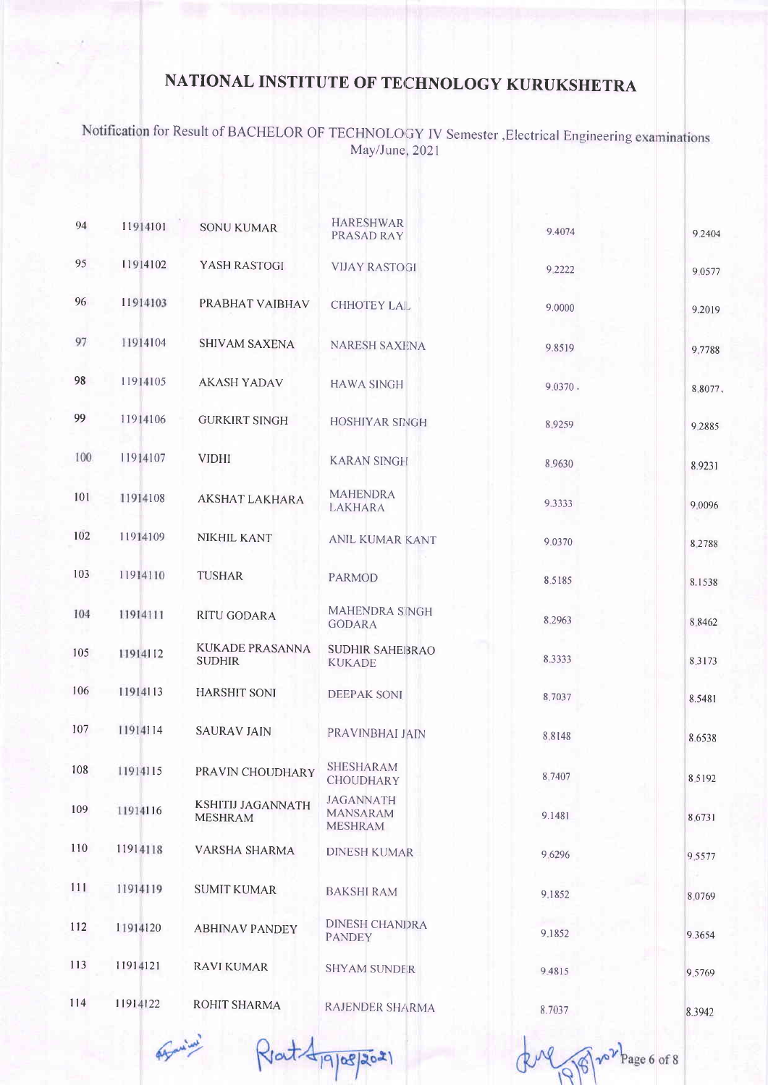Notification for Result of BACHELOR OF TECHNOLOGY IV Semester , Electrical Engineering examinations<br>May/June, 2021

| 94  | 11914101 | <b>SONU KUMAR</b>                          | <b>HARESHWAR</b><br>PRASAD RAY                        | 9.4074    | 9.2404    |
|-----|----------|--------------------------------------------|-------------------------------------------------------|-----------|-----------|
| 95  | 11914102 | YASH RASTOGI                               | <b>VIJAY RASTOGI</b>                                  | 9 2 2 2 2 | 9 0 5 7 7 |
| 96  | 11914103 | PRABHAT VAIBHAV                            | <b>CHHOTEY LAL</b>                                    | 9.0000    | 9.2019    |
| 97  | 11914104 | <b>SHIVAM SAXENA</b>                       | <b>NARESH SAXENA</b>                                  | 9.8519    | 9,7788    |
| 98  | 11914105 | <b>AKASH YADAV</b>                         | <b>HAWA SINGH</b>                                     | 9.0370.   | 8.8077,   |
| 99  | 11914106 | <b>GURKIRT SINGH</b>                       | <b>HOSHIYAR SINGH</b>                                 | 8.9259    | 92885     |
| 100 | 11914107 | <b>VIDHI</b>                               | <b>KARAN SINGH</b>                                    | 8,9630    | 8.9231    |
| 101 | 11914108 | AKSHAT LAKHARA                             | <b>MAHENDRA</b><br>LAKHARA                            | 9.3333    | 9.0096    |
| 102 | 11914109 | NIKHIL KANT                                | ANIL KUMAR KANT                                       | 9.0370    | 8 2 7 8 8 |
| 103 | 11914110 | <b>TUSHAR</b>                              | <b>PARMOD</b>                                         | 8.5185    | 8.1538    |
| 104 | 11914111 | <b>RITU GODARA</b>                         | MAHENDRA SINGH<br><b>GODARA</b>                       | 8.2963    | 8.8462    |
| 105 | 11914112 | <b>KUKADE PRASANNA</b><br><b>SUDHIR</b>    | <b>SUDHIR SAHEBRAO</b><br><b>KUKADE</b>               | 8.3333    | 8.3173    |
| 106 | 11914113 | <b>HARSHIT SONI</b>                        | <b>DEEPAK SONI</b>                                    | 8.7037    | 8.5481    |
| 107 | 11914114 | <b>SAURAV JAIN</b>                         | PRAVINBHAI JAIN                                       | 8.8148    | 8.6538    |
| 108 | 11914115 | PRAVIN CHOUDHARY                           | SHESHARAM<br><b>CHOUDHARY</b>                         | 8.7407    | 8.5192    |
| 109 | 11914116 | <b>KSHITIJ JAGANNATH</b><br><b>MESHRAM</b> | <b>JAGANNATH</b><br><b>MANSARAM</b><br><b>MESHRAM</b> | 9.1481    | 8.6731    |
| 110 | 11914118 | VARSHA SHARMA                              | <b>DINESH KUMAR</b>                                   | 9.6296    | 9.5577    |
| 111 | 11914119 | <b>SUMIT KUMAR</b>                         | <b>BAKSHI RAM</b>                                     | 9.1852    | 8 0 7 6 9 |
| 112 | 11914120 | <b>ABHINAV PANDEY</b>                      | DINESH CHANDRA<br><b>PANDEY</b>                       | 9.1852    | 9.3654    |
| 113 | 11914121 | <b>RAVI KUMAR</b>                          | <b>SHYAM SUNDER</b>                                   | 9.4815    | 9.5769    |
| 114 | 11914122 | ROHIT SHARMA                               | RAJENDER SHARMA                                       | 8.7037    | 8 3 9 4 2 |

Rent Approxi

 $\sqrt{6} \sqrt{\gamma^2}$  Page 6 of 8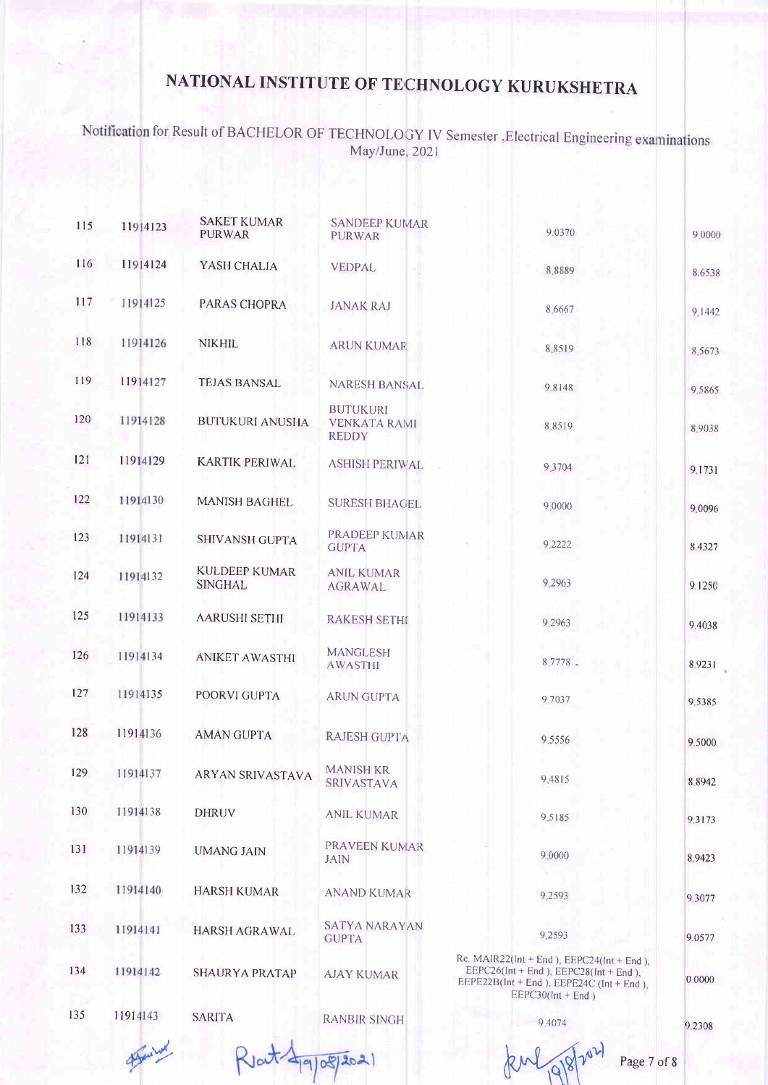# Notification for Result of BACHELOR OF TECHNOLOGY IV Semester , Electrical Engineering examinations<br>May/June, 2021

| 115 | 11914123 | <b>SAKET KUMAR</b><br><b>PURWAR</b>    | <b>SANDEEP KUMAR</b><br><b>PURWAR</b>                  | 9.0370                                                                                                                                                | 9,0000    |
|-----|----------|----------------------------------------|--------------------------------------------------------|-------------------------------------------------------------------------------------------------------------------------------------------------------|-----------|
| 116 | 11914124 | YASH CHALIA                            | <b>VEDPAL</b>                                          | 8.8889                                                                                                                                                | 8.6538    |
| 117 | 11914125 | PARAS CHOPRA                           | <b>JANAK RAJ</b>                                       | 8,6667                                                                                                                                                | 9.1442    |
| 118 | 11914126 | <b>NIKHIL</b>                          | <b>ARUN KUMAR</b>                                      | 8.8519                                                                                                                                                | 8.5673    |
| 119 | 11914127 | <b>TEJAS BANSAL</b>                    | <b>NARESH BANSAL</b>                                   | 9.8148                                                                                                                                                | 9.5865    |
| 120 | 11914128 | <b>BUTUKURI ANUSHA</b>                 | <b>BUTUKURI</b><br><b>VENKATA RAMI</b><br><b>REDDY</b> | 8.8519                                                                                                                                                | 89038     |
| 121 | 11914129 | <b>KARTIK PERIWAL</b>                  | <b>ASHISH PERIWAL</b>                                  | 9,3704                                                                                                                                                | 9.1731    |
| 122 | 11914130 | <b>MANISH BAGHEL</b>                   | <b>SURESH BHAGEL</b>                                   | 9.0000                                                                                                                                                | 9.0096    |
| 123 | 11914131 | SHIVANSH GUPTA                         | PRADEEP KUMAR<br><b>GUPTA</b>                          | 9.2222                                                                                                                                                | 8.4327    |
| 124 | 11914132 | <b>KULDEEP KUMAR</b><br><b>SINGHAL</b> | <b>ANIL KUMAR</b><br><b>AGRAWAL</b>                    | 9.2963                                                                                                                                                | 9.1250    |
| 125 | 11914133 | <b>AARUSHI SETHI</b>                   | <b>RAKESH SETHI</b>                                    | 9.2963                                                                                                                                                | 9.4038    |
| 126 | 11914134 | <b>ANIKET AWASTHI</b>                  | <b>MANGLESH</b><br><b>AWASTHI</b>                      | $8.7778$ -                                                                                                                                            | 8.9231    |
| 127 | 11914135 | POORVI GUPTA                           | <b>ARUN GUPTA</b>                                      | 9.7037                                                                                                                                                | 9.5385    |
| 128 | 11914136 | <b>AMAN GUPTA</b>                      | <b>RAJESH GUPTA</b>                                    | 9.5556                                                                                                                                                | 9.5000    |
| 129 | 11914137 | <b>ARYAN SRIVASTAVA</b>                | <b>MANISH KR</b><br><b>SRIVASTAVA</b>                  | 9.4815                                                                                                                                                | 8 8 9 4 2 |
| 130 | 11914138 | <b>DHRUV</b>                           | <b>ANIL KUMAR</b>                                      | 9.5185                                                                                                                                                | 9.3173    |
| 131 | 11914139 | <b>UMANG JAIN</b>                      | PRAVEEN KUMAR<br><b>JAIN</b>                           | 9,0000                                                                                                                                                | 8.9423    |
| 132 | 11914140 | <b>HARSH KUMAR</b>                     | <b>ANAND KUMAR</b>                                     | 9 2 5 9 3                                                                                                                                             | 9.3077    |
| 133 | 11914141 | <b>HARSH AGRAWAL</b>                   | SATYA NARAYAN<br><b>GUPTA</b>                          | 9.2593                                                                                                                                                | 9.0577    |
| 134 | 11914142 | <b>SHAURYA PRATAP</b>                  | AJAY KUMAR                                             | Re. MAJR22(Int + End), EEPC24(Int + End),<br>EEPC26(Int + End), EEPC28(Int + End),<br>EEPE22B(Int + End), EEPE24C (Int + End),<br>$EEPC30(int + End)$ | 0.0000    |
| 135 | 11914143 | <b>SARITA</b>                          | <b>RANBIR SINGH</b>                                    | 9,4074                                                                                                                                                | 9.2308    |
|     |          |                                        |                                                        |                                                                                                                                                       |           |

Rent 4/9/08/2021

 $RML_{19|8}$ 

Page 7 of 8